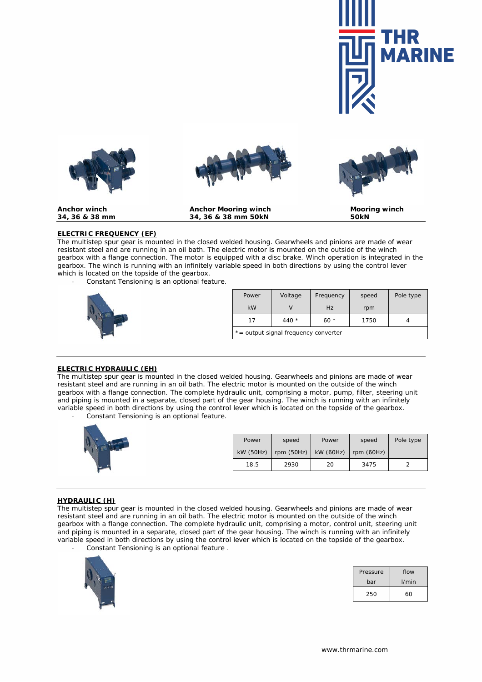





Anchor winch **Anchor Mooring winch** Mooring winch **Mooring winch** 34, 36 & 38 mm 50kN 50kN **34, 36 & 38 mm 34, 36 & 38 mm 50kN 50kN**



# **ELECTRIC FREQUENCY (EF)**

The multistep spur gear is mounted in the closed welded housing. Gearwheels and pinions are made of wear resistant steel and are running in an oil bath. The electric motor is mounted on the outside of the winch gearbox with a flange connection. The motor is equipped with a disc brake. Winch operation is integrated in the gearbox. The winch is running with an infinitely variable speed in both directions by using the control lever which is located on the topside of the gearbox.

- *Constant Tensioning is an optional feature.*



| Power                                | Voltage          | Frequency | speed | Pole type |  |  |
|--------------------------------------|------------------|-----------|-------|-----------|--|--|
| kW                                   |                  | Hz        | rpm   |           |  |  |
| 17                                   | 440 $*$<br>$60*$ |           | 1750  |           |  |  |
| *= output signal frequency converter |                  |           |       |           |  |  |

#### **ELECTRIC HYDRAULIC (EH)**

The multistep spur gear is mounted in the closed welded housing. Gearwheels and pinions are made of wear resistant steel and are running in an oil bath. The electric motor is mounted on the outside of the winch gearbox with a flange connection. The complete hydraulic unit, comprising a motor, pump, filter, steering unit and piping is mounted in a separate, closed part of the gear housing. The winch is running with an infinitely variable speed in both directions by using the control lever which is located on the topside of the gearbox. - *Constant Tensioning is an optional feature.*





### **HYDRAULIC (H)**

The multistep spur gear is mounted in the closed welded housing. Gearwheels and pinions are made of wear resistant steel and are running in an oil bath. The electric motor is mounted on the outside of the winch gearbox with a flange connection. The complete hydraulic unit, comprising a motor, control unit, steering unit and piping is mounted in a separate, closed part of the gear housing. The winch is running with an infinitely variable speed in both directions by using the control lever which is located on the topside of the gearbox. - *Constant Tensioning is an optional feature .*



| Pressure | flow     |  |
|----------|----------|--|
| bar      | $1/m$ in |  |
| 250      | 60       |  |